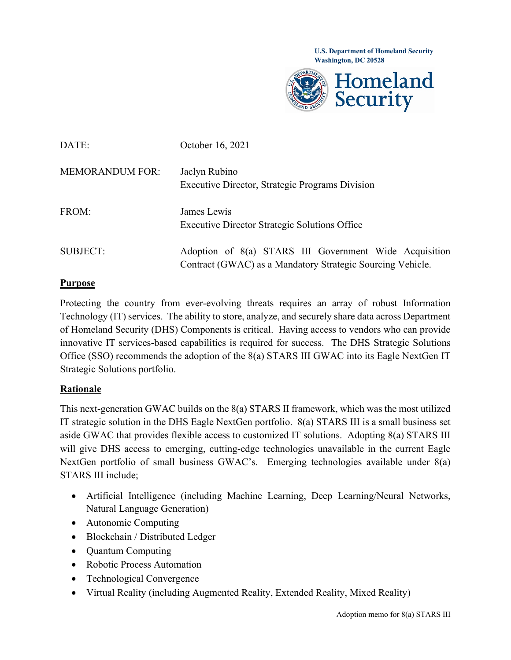

| DATE:                  | October 16, 2021                                                                                                     |
|------------------------|----------------------------------------------------------------------------------------------------------------------|
| <b>MEMORANDUM FOR:</b> | Jaclyn Rubino<br>Executive Director, Strategic Programs Division                                                     |
| FROM:                  | James Lewis<br><b>Executive Director Strategic Solutions Office</b>                                                  |
| SUBJECT:               | Adoption of 8(a) STARS III Government Wide Acquisition<br>Contract (GWAC) as a Mandatory Strategic Sourcing Vehicle. |

## **Purpose**

Protecting the country from ever-evolving threats requires an array of robust Information Technology (IT) services. The ability to store, analyze, and securely share data across Department of Homeland Security (DHS) Components is critical. Having access to vendors who can provide innovative IT services-based capabilities is required for success. The DHS Strategic Solutions Office (SSO) recommends the adoption of the 8(a) STARS III GWAC into its Eagle NextGen IT Strategic Solutions portfolio.

## **Rationale**

This next-generation GWAC builds on the 8(a) STARS II framework, which was the most utilized IT strategic solution in the DHS Eagle NextGen portfolio. 8(a) STARS III is a small business set aside GWAC that provides flexible access to customized IT solutions. Adopting 8(a) STARS III will give DHS access to emerging, cutting-edge technologies unavailable in the current Eagle NextGen portfolio of small business GWAC's. Emerging technologies available under 8(a) STARS III include;

- Artificial Intelligence (including Machine Learning, Deep Learning/Neural Networks, Natural Language Generation)
- Autonomic Computing
- Blockchain / Distributed Ledger
- Ouantum Computing
- Robotic Process Automation
- Technological Convergence
- Virtual Reality (including Augmented Reality, Extended Reality, Mixed Reality)